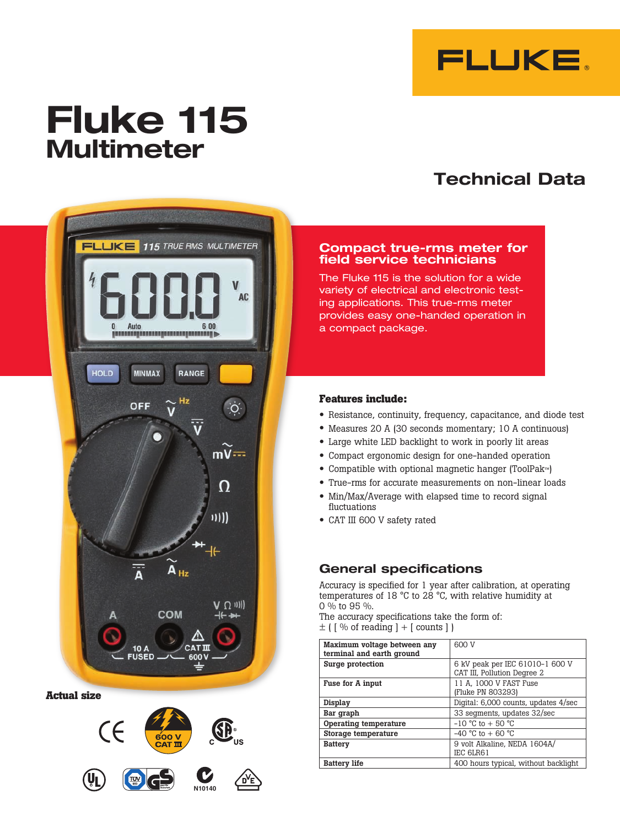

# **Fluke 115 Multimeter**

# **Technical Data**



**Actual size**



#### **Compact true-rms meter for field service technicians**

The Fluke 115 is the solution for a wide variety of electrical and electronic testing applications. This true-rms meter provides easy one-handed operation in a compact package.

## **Features include:**

- Resistance, continuity, frequency, capacitance, and diode test
- Measures 20 A (30 seconds momentary; 10 A continuous)
- • Large white LED backlight to work in poorly lit areas
- Compact ergonomic design for one-handed operation
- • Compatible with optional magnetic hanger (ToolPak™)
- • True-rms for accurate measurements on non-linear loads
- Min/Max/Average with elapsed time to record signal fluctuations
- CAT III 600 V safety rated

# **General specifications**

Accuracy is specified for 1 year after calibration, at operating temperatures of 18 °C to 28 °C, with relative humidity at 0 % to 95 %.

The accuracy specifications take the form of:  $\pm$  ( [ % of reading ] + [ counts ] )

| Maximum voltage between any<br>terminal and earth ground | 600 V                                                          |  |
|----------------------------------------------------------|----------------------------------------------------------------|--|
| Surge protection                                         | 6 kV peak per IEC 61010-1 600 V<br>CAT III, Pollution Degree 2 |  |
| Fuse for A input                                         | 11 A, 1000 V FAST Fuse<br>(Fluke PN 803293)                    |  |
| Display                                                  | Digital: 6,000 counts, updates 4/sec                           |  |
| Bar graph                                                | 33 segments, updates 32/sec                                    |  |
| Operating temperature                                    | $-10$ °C to $+50$ °C                                           |  |
| Storage temperature                                      | $-40$ °C to $+60$ °C                                           |  |
| <b>Battery</b>                                           | 9 volt Alkaline. NEDA 1604A/<br>IEC 6LR61                      |  |
| <b>Battery life</b>                                      | 400 hours typical, without backlight                           |  |